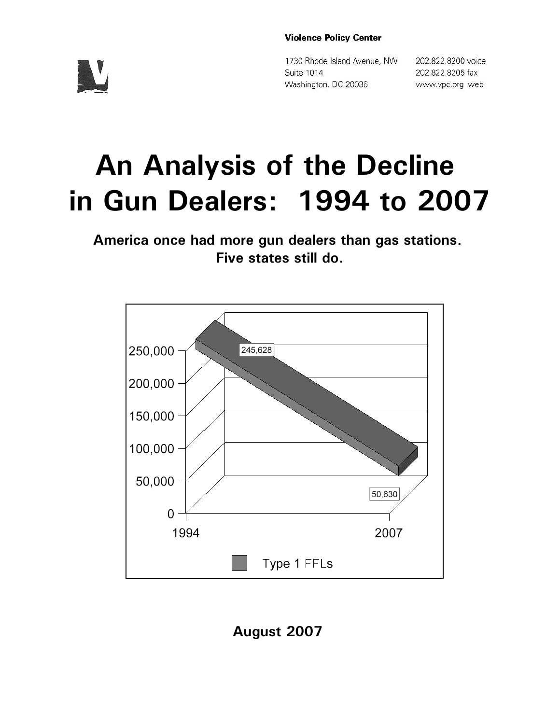#### **Violence Policy Center**

1730 Rhode Island Avenue, NW Suite 1014 Washington, DC 20036

202.822.8200 voice 202.822.8205 fax www.vpc.org web

# **An Analysis of the Decline in Gun Dealers: 1994 to 2007**

**America once had more gun dealers than gas stations. Five states still do.**



**August 2007**

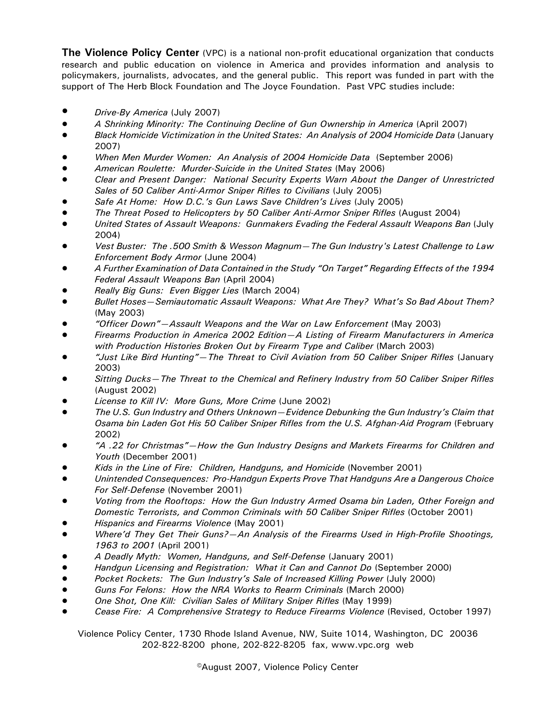**The Violence Policy Center** (VPC) is a national non-profit educational organization that conducts research and public education on violence in America and provides information and analysis to policymakers, journalists, advocates, and the general public. This report was funded in part with the support of The Herb Block Foundation and The Joyce Foundation. Past VPC studies include:

- *• Drive-By America* (July 2007)
- ! *A Shrinking Minority: The Continuing Decline of Gun Ownership in America* (April 2007)
- ! *Black Homicide Victimization in the United States: An Analysis of 2004 Homicide Data* (January 2007)
- ! *When Men Murder Women: An Analysis of 2004 Homicide Data* (September 2006)
- ! *American Roulette: Murder-Suicide in the United States* (May 2006)
- ! *Clear and Present Danger: National Security Experts Warn About the Danger of Unrestricted* Sales of 50 Caliber Anti-Armor Sniper Rifles to Civilians (July 2005)
- ! *Safe At Home: How D.C.'s Gun Laws Save Children's Lives* (July 2005)
- ! *The Threat Posed to Helicopters by 50 Caliber Anti-Armor Sniper Rifles* (August 2004)
- ! *United States of Assault Weapons: Gunmakers Evading the Federal Assault Weapons Ban* (July 2004)
- ! *Vest Buster: The .500 Smith & Wesson Magnum—The Gun Industry's Latest Challenge to Law Enforcement Body Armor* (June 2004)
- ! *A Further Examination of Data Contained in the Study "On Target" Regarding Effects of the 1994 Federal Assault Weapons Ban* (April 2004)
- ! *Really Big Guns: Even Bigger Lies* (March 2004)
- ! *Bullet Hoses—Semiautomatic Assault Weapons: What Are They? What's So Bad About Them?* (May 2003)
- ! *"Officer Down"—Assault Weapons and the War on Law Enforcement* (May 2003)
- ! *Firearms Production in America 2002 Edition—A Listing of Firearm Manufacturers in America with Production Histories Broken Out by Firearm Type and Caliber* (March 2003)
- ! *"Just Like Bird Hunting"—The Threat to Civil Aviation from 50 Caliber Sniper Rifles* (January 2003)
- ! *Sitting Ducks—The Threat to the Chemical and Refinery Industry from 50 Caliber Sniper Rifles* (August 2002)
- ! *License to Kill IV: More Guns, More Crime* (June 2002)
- ! *The U.S. Gun Industry and Others Unknown—Evidence Debunking the Gun Industry's Claim that Osama bin Laden Got His 50 Caliber Sniper Rifles from the U.S. Afghan-Aid Program* (February 2002)
- ! *"A .22 for Christmas"—How the Gun Industry Designs and Markets Firearms for Children and Youth* (December 2001)
- ! *Kids in the Line of Fire: Children, Handguns, and Homicide* (November 2001)
- ! *Unintended Consequences: Pro-Handgun Experts Prove That Handguns Are a Dangerous Choice For Self-Defense* (November 2001)
- ! *Voting from the Rooftops: How the Gun Industry Armed Osama bin Laden, Other Foreign and Domestic Terrorists, and Common Criminals with 50 Caliber Sniper Rifles* (October 2001)
- ! *Hispanics and Firearms Violence* (May 2001)
- ! *Where'd They Get Their Guns?—An Analysis of the Firearms Used in High-Profile Shootings, 1963 to 2001* (April 2001)
- ! *A Deadly Myth: Women, Handguns, and Self-Defense* (January 2001)
- ! *Handgun Licensing and Registration: What it Can and Cannot Do* (September 2000)
- ! *Pocket Rockets: The Gun Industry's Sale of Increased Killing Power* (July 2000)
- ! *Guns For Felons: How the NRA Works to Rearm Criminals* (March 2000)
- ! *One Shot, One Kill: Civilian Sales of Military Sniper Rifles* (May 1999)
- ! *Cease Fire: A Comprehensive Strategy to Reduce Firearms Violence* (Revised, October 1997)

Violence Policy Center, 1730 Rhode Island Avenue, NW, Suite 1014, Washington, DC 20036 202-822-8200 phone, 202-822-8205 fax, www.vpc.org web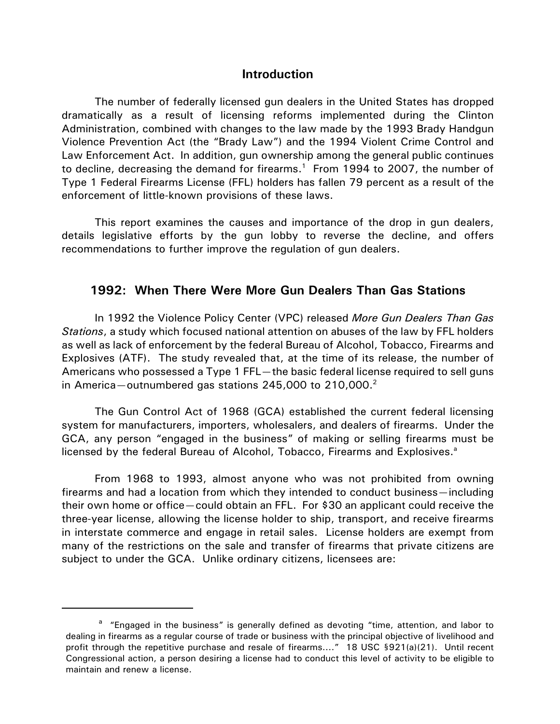#### **Introduction**

The number of federally licensed gun dealers in the United States has dropped dramatically as a result of licensing reforms implemented during the Clinton Administration, combined with changes to the law made by the 1993 Brady Handgun Violence Prevention Act (the "Brady Law") and the 1994 Violent Crime Control and Law Enforcement Act. In addition, gun ownership among the general public continues to decline, decreasing the demand for firearms.<sup>1</sup> From 1994 to 2007, the number of Type 1 Federal Firearms License (FFL) holders has fallen 79 percent as a result of the enforcement of little-known provisions of these laws.

This report examines the causes and importance of the drop in gun dealers, details legislative efforts by the gun lobby to reverse the decline, and offers recommendations to further improve the regulation of gun dealers.

# **1992: When There Were More Gun Dealers Than Gas Stations**

In 1992 the Violence Policy Center (VPC) released *More Gun Dealers Than Gas Stations*, a study which focused national attention on abuses of the law by FFL holders as well as lack of enforcement by the federal Bureau of Alcohol, Tobacco, Firearms and Explosives (ATF). The study revealed that, at the time of its release, the number of Americans who possessed a Type 1 FFL—the basic federal license required to sell guns in America—outnumbered gas stations 245,000 to 210,000.<sup>2</sup>

The Gun Control Act of 1968 (GCA) established the current federal licensing system for manufacturers, importers, wholesalers, and dealers of firearms. Under the GCA, any person "engaged in the business" of making or selling firearms must be licensed by the federal Bureau of Alcohol, Tobacco, Firearms and Explosives.<sup>a</sup>

From 1968 to 1993, almost anyone who was not prohibited from owning firearms and had a location from which they intended to conduct business—including their own home or office—could obtain an FFL. For \$30 an applicant could receive the three-year license, allowing the license holder to ship, transport, and receive firearms in interstate commerce and engage in retail sales. License holders are exempt from many of the restrictions on the sale and transfer of firearms that private citizens are subject to under the GCA. Unlike ordinary citizens, licensees are:

<sup>&</sup>lt;sup>a</sup> "Engaged in the business" is generally defined as devoting "time, attention, and labor to dealing in firearms as a regular course of trade or business with the principal objective of livelihood and profit through the repetitive purchase and resale of firearms...." 18 USC §921(a)(21). Until recent Congressional action, a person desiring a license had to conduct this level of activity to be eligible to maintain and renew a license.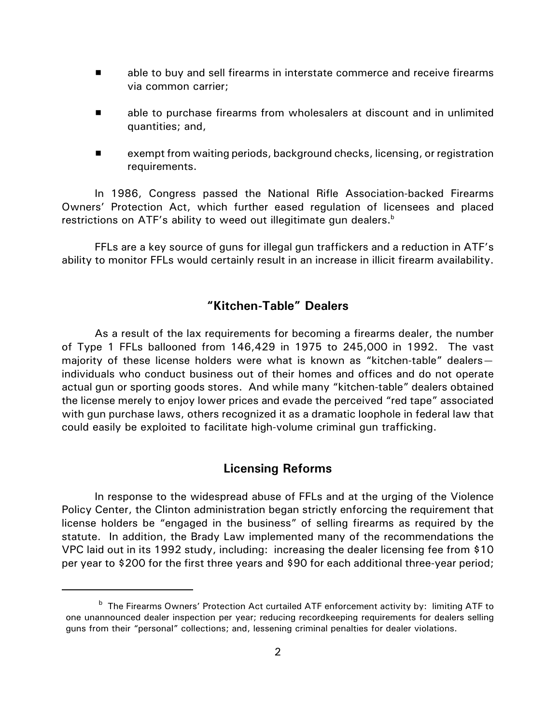- **EXECT** able to buy and sell firearms in interstate commerce and receive firearms via common carrier;
- **EXECT** able to purchase firearms from wholesalers at discount and in unlimited quantities; and,
- $\blacksquare$  exempt from waiting periods, background checks, licensing, or registration requirements.

In 1986, Congress passed the National Rifle Association-backed Firearms Owners' Protection Act, which further eased regulation of licensees and placed restrictions on ATF's ability to weed out illegitimate gun dealers. $<sup>b</sup>$ </sup>

FFLs are a key source of guns for illegal gun traffickers and a reduction in ATF's ability to monitor FFLs would certainly result in an increase in illicit firearm availability.

# **"Kitchen-Table" Dealers**

As a result of the lax requirements for becoming a firearms dealer, the number of Type 1 FFLs ballooned from 146,429 in 1975 to 245,000 in 1992. The vast majority of these license holders were what is known as "kitchen-table" dealers individuals who conduct business out of their homes and offices and do not operate actual gun or sporting goods stores. And while many "kitchen-table" dealers obtained the license merely to enjoy lower prices and evade the perceived "red tape" associated with gun purchase laws, others recognized it as a dramatic loophole in federal law that could easily be exploited to facilitate high-volume criminal gun trafficking.

# **Licensing Reforms**

In response to the widespread abuse of FFLs and at the urging of the Violence Policy Center, the Clinton administration began strictly enforcing the requirement that license holders be "engaged in the business" of selling firearms as required by the statute. In addition, the Brady Law implemented many of the recommendations the VPC laid out in its 1992 study, including: increasing the dealer licensing fee from \$10 per year to \$200 for the first three years and \$90 for each additional three-year period;

<sup>&</sup>lt;sup>b</sup> The Firearms Owners' Protection Act curtailed ATF enforcement activity by: limiting ATF to one unannounced dealer inspection per year; reducing recordkeeping requirements for dealers selling guns from their "personal" collections; and, lessening criminal penalties for dealer violations.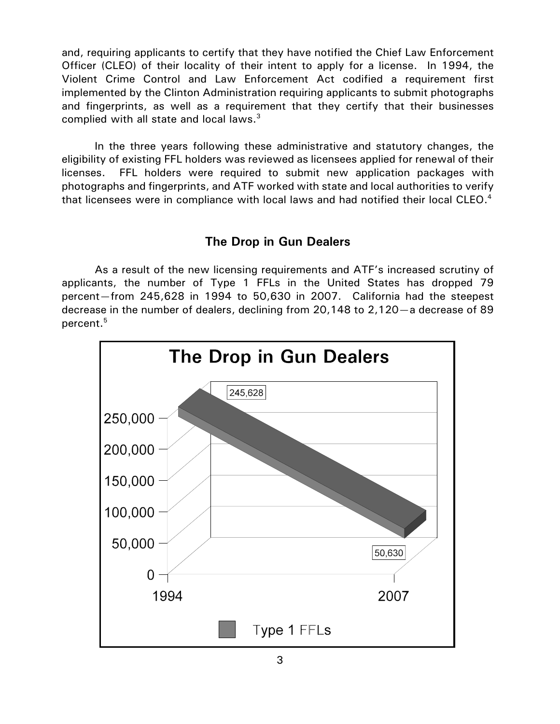and, requiring applicants to certify that they have notified the Chief Law Enforcement Officer (CLEO) of their locality of their intent to apply for a license. In 1994, the Violent Crime Control and Law Enforcement Act codified a requirement first implemented by the Clinton Administration requiring applicants to submit photographs and fingerprints, as well as a requirement that they certify that their businesses complied with all state and local laws. $3$ 

In the three years following these administrative and statutory changes, the eligibility of existing FFL holders was reviewed as licensees applied for renewal of their licenses. FFL holders were required to submit new application packages with photographs and fingerprints, and ATF worked with state and local authorities to verify that licensees were in compliance with local laws and had notified their local CLEO.<sup>4</sup>

### **The Drop in Gun Dealers**

As a result of the new licensing requirements and ATF's increased scrutiny of applicants, the number of Type 1 FFLs in the United States has dropped 79 percent—from 245,628 in 1994 to 50,630 in 2007. California had the steepest decrease in the number of dealers, declining from 20,148 to 2,120—a decrease of 89 percent.<sup>5</sup>

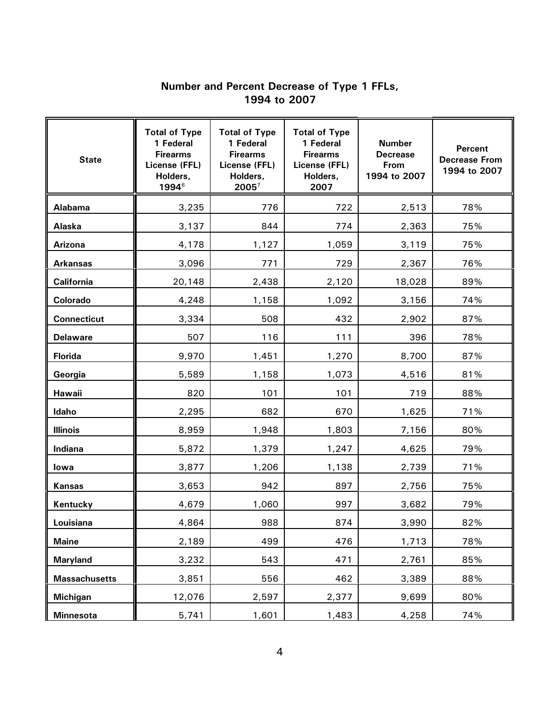# **Number and Percent Decrease of Type 1 FFLs, 1994 to 2007**

| <b>State</b>         | <b>Total of Type</b><br>1 Federal<br><b>Firearms</b><br>License (FFL)<br>Holders,<br>1994 <sup>6</sup> | <b>Total of Type</b><br>1 Federal<br><b>Firearms</b><br>License (FFL)<br>Holders,<br>$2005^7$ | <b>Total of Type</b><br>1 Federal<br><b>Firearms</b><br>License (FFL)<br>Holders,<br>2007 | <b>Number</b><br><b>Decrease</b><br>From<br>1994 to 2007 | <b>Percent</b><br><b>Decrease From</b><br>1994 to 2007 |
|----------------------|--------------------------------------------------------------------------------------------------------|-----------------------------------------------------------------------------------------------|-------------------------------------------------------------------------------------------|----------------------------------------------------------|--------------------------------------------------------|
| Alabama              | 3,235                                                                                                  | 776                                                                                           | 722                                                                                       | 2,513                                                    | 78%                                                    |
| Alaska               | 3,137                                                                                                  | 844                                                                                           | 774                                                                                       | 2,363                                                    | 75%                                                    |
| Arizona              | 4,178                                                                                                  | 1,127                                                                                         | 1,059                                                                                     | 3,119                                                    | 75%                                                    |
| <b>Arkansas</b>      | 3,096                                                                                                  | 771                                                                                           | 729                                                                                       | 2,367                                                    | 76%                                                    |
| California           | 20,148                                                                                                 | 2,438                                                                                         | 2,120                                                                                     | 18,028                                                   | 89%                                                    |
| Colorado             | 4,248                                                                                                  | 1,158                                                                                         | 1,092                                                                                     | 3,156                                                    | 74%                                                    |
| <b>Connecticut</b>   | 3,334                                                                                                  | 508                                                                                           | 432                                                                                       | 2,902                                                    | 87%                                                    |
| <b>Delaware</b>      | 507                                                                                                    | 116                                                                                           | 111                                                                                       | 396                                                      | 78%                                                    |
| <b>Florida</b>       | 9,970                                                                                                  | 1,451                                                                                         | 1,270                                                                                     | 8,700                                                    | 87%                                                    |
| Georgia              | 5,589                                                                                                  | 1,158                                                                                         | 1,073                                                                                     | 4,516                                                    | 81%                                                    |
| Hawaii               | 820                                                                                                    | 101                                                                                           | 101                                                                                       | 719                                                      | 88%                                                    |
| Idaho                | 2,295                                                                                                  | 682                                                                                           | 670                                                                                       | 1,625                                                    | 71%                                                    |
| <b>Illinois</b>      | 8,959                                                                                                  | 1,948                                                                                         | 1,803                                                                                     | 7,156                                                    | 80%                                                    |
| Indiana              | 5,872                                                                                                  | 1,379                                                                                         | 1,247                                                                                     | 4,625                                                    | 79%                                                    |
| lowa                 | 3,877                                                                                                  | 1,206                                                                                         | 1,138                                                                                     | 2,739                                                    | 71%                                                    |
| <b>Kansas</b>        | 3,653                                                                                                  | 942                                                                                           | 897                                                                                       | 2,756                                                    | 75%                                                    |
| Kentucky             | 4,679                                                                                                  | 1,060                                                                                         | 997                                                                                       | 3,682                                                    | 79%                                                    |
| Louisiana            | 4,864                                                                                                  | 988                                                                                           | 874                                                                                       | 3,990                                                    | 82%                                                    |
| <b>Maine</b>         | 2,189                                                                                                  | 499                                                                                           | 476                                                                                       | 1,713                                                    | 78%                                                    |
| <b>Maryland</b>      | 3,232                                                                                                  | 543                                                                                           | 471                                                                                       | 2,761                                                    | 85%                                                    |
| <b>Massachusetts</b> | 3,851                                                                                                  | 556                                                                                           | 462                                                                                       | 3,389                                                    | 88%                                                    |
| <b>Michigan</b>      | 12,076                                                                                                 | 2,597                                                                                         | 2,377                                                                                     | 9,699                                                    | 80%                                                    |
| <b>Minnesota</b>     | 5,741                                                                                                  | 1,601                                                                                         | 1,483                                                                                     | 4,258                                                    | 74%                                                    |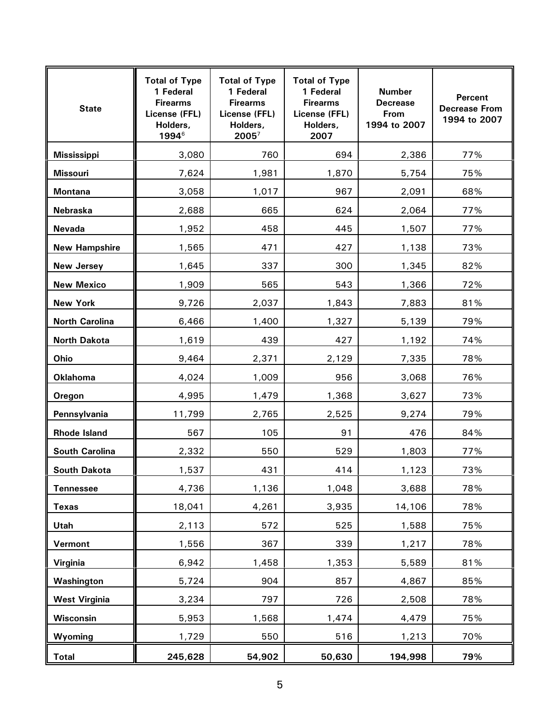| <b>State</b>          | <b>Total of Type</b><br>1 Federal<br><b>Firearms</b><br>License (FFL)<br>Holders,<br>1994 <sup>6</sup> | <b>Total of Type</b><br>1 Federal<br><b>Firearms</b><br>License (FFL)<br>Holders,<br>$2005^7$ | <b>Total of Type</b><br>1 Federal<br><b>Firearms</b><br>License (FFL)<br>Holders,<br>2007 | <b>Number</b><br><b>Decrease</b><br><b>From</b><br>1994 to 2007 | <b>Percent</b><br><b>Decrease From</b><br>1994 to 2007 |
|-----------------------|--------------------------------------------------------------------------------------------------------|-----------------------------------------------------------------------------------------------|-------------------------------------------------------------------------------------------|-----------------------------------------------------------------|--------------------------------------------------------|
| <b>Mississippi</b>    | 3,080                                                                                                  | 760                                                                                           | 694                                                                                       | 2,386                                                           | 77%                                                    |
| <b>Missouri</b>       | 7,624                                                                                                  | 1,981                                                                                         | 1,870                                                                                     | 5,754                                                           | 75%                                                    |
| <b>Montana</b>        | 3,058                                                                                                  | 1,017                                                                                         | 967                                                                                       | 2,091                                                           | 68%                                                    |
| Nebraska              | 2,688                                                                                                  | 665                                                                                           | 624                                                                                       | 2,064                                                           | 77%                                                    |
| <b>Nevada</b>         | 1,952                                                                                                  | 458                                                                                           | 445                                                                                       | 1,507                                                           | 77%                                                    |
| <b>New Hampshire</b>  | 1,565                                                                                                  | 471                                                                                           | 427                                                                                       | 1,138                                                           | 73%                                                    |
| <b>New Jersey</b>     | 1,645                                                                                                  | 337                                                                                           | 300                                                                                       | 1,345                                                           | 82%                                                    |
| <b>New Mexico</b>     | 1,909                                                                                                  | 565                                                                                           | 543                                                                                       | 1,366                                                           | 72%                                                    |
| <b>New York</b>       | 9,726                                                                                                  | 2,037                                                                                         | 1,843                                                                                     | 7,883                                                           | 81%                                                    |
| <b>North Carolina</b> | 6,466                                                                                                  | 1,400                                                                                         | 1,327                                                                                     | 5,139                                                           | 79%                                                    |
| <b>North Dakota</b>   | 1,619                                                                                                  | 439                                                                                           | 427                                                                                       | 1,192                                                           | 74%                                                    |
| Ohio                  | 9,464                                                                                                  | 2,371                                                                                         | 2,129                                                                                     | 7,335                                                           | 78%                                                    |
| <b>Oklahoma</b>       | 4,024                                                                                                  | 1,009                                                                                         | 956                                                                                       | 3,068                                                           | 76%                                                    |
| Oregon                | 4,995                                                                                                  | 1,479                                                                                         | 1,368                                                                                     | 3,627                                                           | 73%                                                    |
| Pennsylvania          | 11,799                                                                                                 | 2,765                                                                                         | 2,525                                                                                     | 9,274                                                           | 79%                                                    |
| <b>Rhode Island</b>   | 567                                                                                                    | 105                                                                                           | 91                                                                                        | 476                                                             | 84%                                                    |
| <b>South Carolina</b> | 2,332                                                                                                  | 550                                                                                           | 529                                                                                       | 1,803                                                           | 77%                                                    |
| <b>South Dakota</b>   | 1,537                                                                                                  | 431                                                                                           | 414                                                                                       | 1,123                                                           | 73%                                                    |
| <b>Tennessee</b>      | 4,736                                                                                                  | 1,136                                                                                         | 1,048                                                                                     | 3,688                                                           | 78%                                                    |
| <b>Texas</b>          | 18,041                                                                                                 | 4,261                                                                                         | 3,935                                                                                     | 14,106                                                          | 78%                                                    |
| <b>Utah</b>           | 2,113                                                                                                  | 572                                                                                           | 525                                                                                       | 1,588                                                           | 75%                                                    |
| Vermont               | 1,556                                                                                                  | 367                                                                                           | 339                                                                                       | 1,217                                                           | 78%                                                    |
| Virginia              | 6,942                                                                                                  | 1,458                                                                                         | 1,353                                                                                     | 5,589                                                           | 81%                                                    |
| Washington            | 5,724                                                                                                  | 904                                                                                           | 857                                                                                       | 4,867                                                           | 85%                                                    |
| <b>West Virginia</b>  | 3,234                                                                                                  | 797                                                                                           | 726                                                                                       | 2,508                                                           | 78%                                                    |
| Wisconsin             | 5,953                                                                                                  | 1,568                                                                                         | 1,474                                                                                     | 4,479                                                           | 75%                                                    |
| Wyoming               | 1,729                                                                                                  | 550                                                                                           | 516                                                                                       | 1,213                                                           | 70%                                                    |
| <b>Total</b>          | 245,628                                                                                                | 54,902                                                                                        | 50,630                                                                                    | 194,998                                                         | 79%                                                    |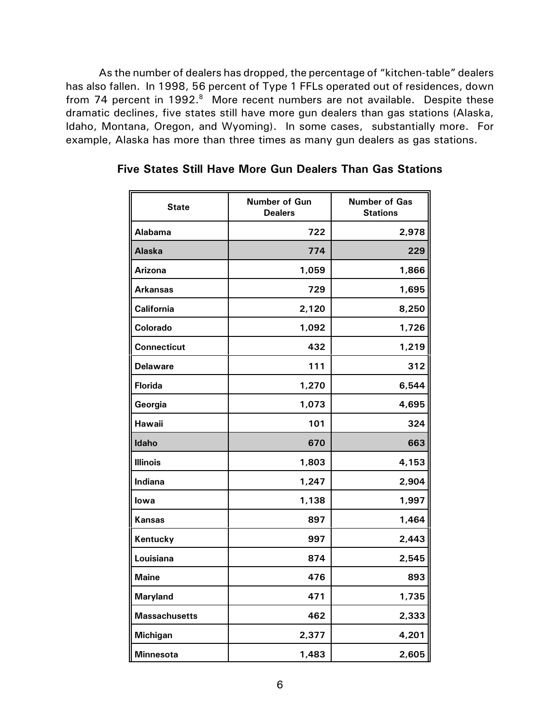As the number of dealers has dropped, the percentage of "kitchen-table" dealers has also fallen. In 1998, 56 percent of Type 1 FFLs operated out of residences, down from 74 percent in 1992.<sup>8</sup> More recent numbers are not available. Despite these dramatic declines, five states still have more gun dealers than gas stations (Alaska, Idaho, Montana, Oregon, and Wyoming). In some cases, substantially more. For example, Alaska has more than three times as many gun dealers as gas stations.

| <b>State</b>         | Number of Gun<br><b>Dealers</b> | <b>Number of Gas</b><br><b>Stations</b> |  |
|----------------------|---------------------------------|-----------------------------------------|--|
| Alabama              | 722                             | 2,978                                   |  |
| <b>Alaska</b>        | 774                             | 229                                     |  |
| Arizona              | 1,059                           | 1,866                                   |  |
| Arkansas             | 729                             | 1,695                                   |  |
| <b>California</b>    | 2,120                           | 8,250                                   |  |
| Colorado             | 1,092                           | 1,726                                   |  |
| <b>Connecticut</b>   | 432                             | 1,219                                   |  |
| <b>Delaware</b>      | 111                             | 312                                     |  |
| <b>Florida</b>       | 1,270                           | 6,544                                   |  |
| Georgia              | 1,073                           | 4,695                                   |  |
| Hawaii               | 101                             | 324                                     |  |
| <b>Idaho</b>         | 670                             | 663                                     |  |
| <b>Illinois</b>      | 1,803                           | 4,153                                   |  |
| Indiana              | 1,247                           | 2,904                                   |  |
| lowa                 | 1,138                           | 1,997                                   |  |
| Kansas               | 897                             | 1,464                                   |  |
| Kentucky             | 997                             | 2,443                                   |  |
| Louisiana            | 874                             | 2,545                                   |  |
| <b>Maine</b>         | 476                             | 893                                     |  |
| <b>Maryland</b>      | 471                             | 1,735                                   |  |
| <b>Massachusetts</b> | 462                             | 2,333                                   |  |
| <b>Michigan</b>      | 2,377                           | 4,201                                   |  |
| <b>Minnesota</b>     | 1,483                           | 2,605                                   |  |

**Five States Still Have More Gun Dealers Than Gas Stations**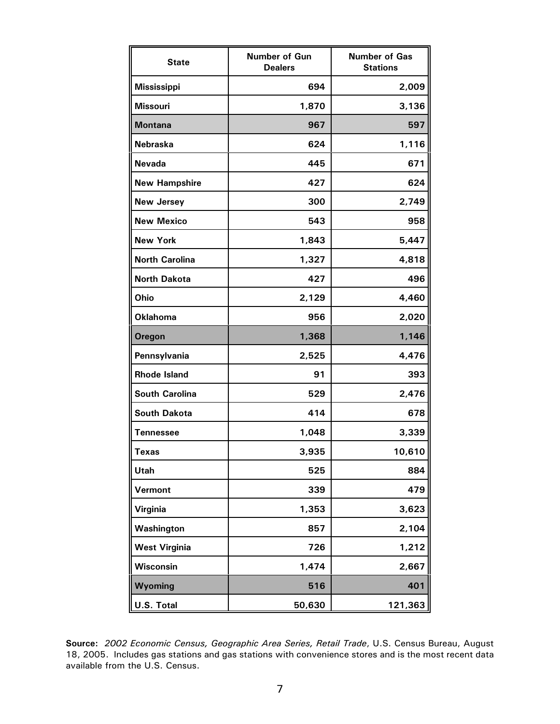| <b>State</b>          | Number of Gun<br><b>Dealers</b> | <b>Number of Gas</b><br><b>Stations</b> |  |
|-----------------------|---------------------------------|-----------------------------------------|--|
| <b>Mississippi</b>    | 694                             | 2,009                                   |  |
| <b>Missouri</b>       | 1,870                           | 3,136                                   |  |
| <b>Montana</b>        | 967                             | 597                                     |  |
| <b>Nebraska</b>       | 624                             | 1,116                                   |  |
| <b>Nevada</b>         | 445                             | 671                                     |  |
| <b>New Hampshire</b>  | 427                             | 624                                     |  |
| <b>New Jersey</b>     | 300                             | 2,749                                   |  |
| <b>New Mexico</b>     | 543                             | 958                                     |  |
| <b>New York</b>       | 1,843                           | 5,447                                   |  |
| <b>North Carolina</b> | 1,327                           | 4,818                                   |  |
| <b>North Dakota</b>   | 427                             | 496                                     |  |
| Ohio                  | 2,129                           | 4,460                                   |  |
| <b>Oklahoma</b>       | 956                             | 2,020                                   |  |
| <b>Oregon</b>         | 1,368                           | 1,146                                   |  |
| Pennsylvania          | 2,525                           | 4,476                                   |  |
| <b>Rhode Island</b>   | 91                              | 393                                     |  |
| <b>South Carolina</b> | 529                             | 2,476                                   |  |
| <b>South Dakota</b>   | 414                             | 678                                     |  |
| <b>Tennessee</b>      | 1,048                           | 3,339                                   |  |
| <b>Texas</b>          | 3,935                           | 10,610                                  |  |
| Utah                  | 525                             | 884                                     |  |
| Vermont               | 339                             | 479                                     |  |
| Virginia              | 1,353                           | 3,623                                   |  |
| Washington            | 857                             | 2,104                                   |  |
| <b>West Virginia</b>  | 726                             | 1,212                                   |  |
| Wisconsin             | 1,474                           | 2,667                                   |  |
| Wyoming               | 516                             | 401                                     |  |
| U.S. Total            | 50,630                          | 121,363                                 |  |

**Source:** *2002 Economic Census, Geographic Area Series, Retail Trade*, U.S. Census Bureau, August 18, 2005. Includes gas stations and gas stations with convenience stores and is the most recent data available from the U.S. Census.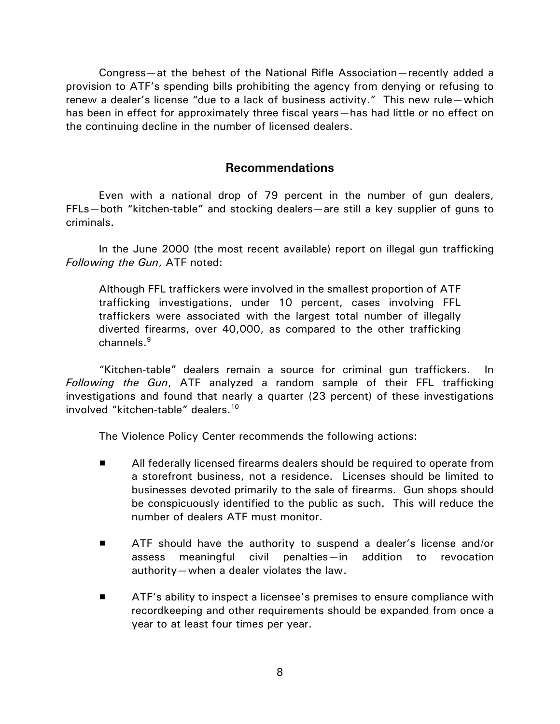Congress—at the behest of the National Rifle Association—recently added a provision to ATF's spending bills prohibiting the agency from denying or refusing to renew a dealer's license "due to a lack of business activity." This new rule—which has been in effect for approximately three fiscal years—has had little or no effect on the continuing decline in the number of licensed dealers.

### **Recommendations**

Even with a national drop of 79 percent in the number of gun dealers, FFLs—both "kitchen-table" and stocking dealers—are still a key supplier of guns to criminals.

In the June 2000 (the most recent available) report on illegal gun trafficking *Following the Gun*, ATF noted:

Although FFL traffickers were involved in the smallest proportion of ATF trafficking investigations, under 10 percent, cases involving FFL traffickers were associated with the largest total number of illegally diverted firearms, over 40,000, as compared to the other trafficking channels.<sup>9</sup>

"Kitchen-table" dealers remain a source for criminal gun traffickers. In *Following the Gun*, ATF analyzed a random sample of their FFL trafficking investigations and found that nearly a quarter (23 percent) of these investigations involved "kitchen-table" dealers.<sup>10</sup>

The Violence Policy Center recommends the following actions:

- **EXECUTE:** All federally licensed firearms dealers should be required to operate from a storefront business, not a residence. Licenses should be limited to businesses devoted primarily to the sale of firearms. Gun shops should be conspicuously identified to the public as such. This will reduce the number of dealers ATF must monitor.
- ATF should have the authority to suspend a dealer's license and/or assess meaningful civil penalties—in addition to revocation authority—when a dealer violates the law.
- **EXECUTE:** ATF's ability to inspect a licensee's premises to ensure compliance with recordkeeping and other requirements should be expanded from once a year to at least four times per year.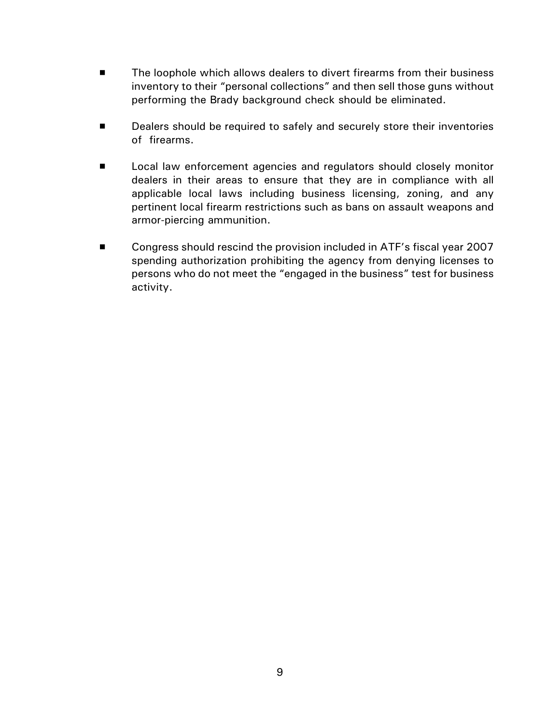- The loophole which allows dealers to divert firearms from their business inventory to their "personal collections" and then sell those guns without performing the Brady background check should be eliminated.
- **EXED** Dealers should be required to safely and securely store their inventories of firearms.
- **EXECTE LOCAL LAW ENFORCEMENT AGENCIES AND REGULATOR SHOULD COSELY MONITOR** dealers in their areas to ensure that they are in compliance with all applicable local laws including business licensing, zoning, and any pertinent local firearm restrictions such as bans on assault weapons and armor-piercing ammunition.
- Congress should rescind the provision included in ATF's fiscal year 2007 spending authorization prohibiting the agency from denying licenses to persons who do not meet the "engaged in the business" test for business activity.